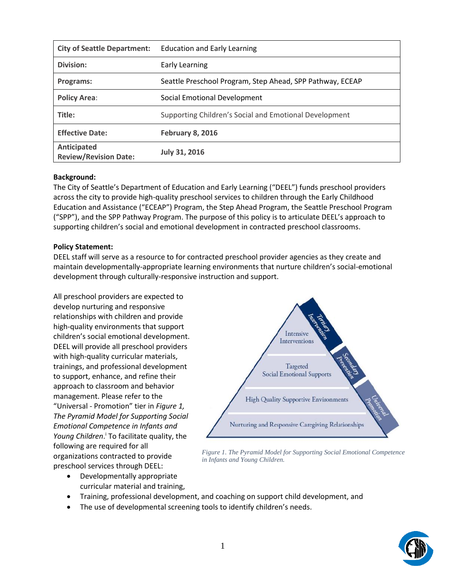| <b>City of Seattle Department:</b>          | <b>Education and Early Learning</b>                       |
|---------------------------------------------|-----------------------------------------------------------|
| Division:                                   | <b>Early Learning</b>                                     |
| Programs:                                   | Seattle Preschool Program, Step Ahead, SPP Pathway, ECEAP |
| <b>Policy Area:</b>                         | Social Emotional Development                              |
| Title:                                      | Supporting Children's Social and Emotional Development    |
| <b>Effective Date:</b>                      | <b>February 8, 2016</b>                                   |
| Anticipated<br><b>Review/Revision Date:</b> | <b>July 31, 2016</b>                                      |

## **Background:**

The City of Seattle's Department of Education and Early Learning ("DEEL") funds preschool providers across the city to provide high-quality preschool services to children through the Early Childhood Education and Assistance ("ECEAP") Program, the Step Ahead Program, the Seattle Preschool Program ("SPP"), and the SPP Pathway Program. The purpose of this policy is to articulate DEEL's approach to supporting children's social and emotional development in contracted preschool classrooms.

## **Policy Statement:**

DEEL staff will serve as a resource to for contracted preschool provider agencies as they create and maintain developmentally-appropriate learning environments that nurture children's social-emotional development through culturally-responsive instruction and support.

All preschool providers are expected to develop nurturing and responsive relationships with children and provide high-quality environments that support children's social emotional development. DEEL will provide all preschool providers with high-quality curricular materials, trainings, and professional development to support, enhance, and refine their approach to classroom and behavior management. Please refer to the "Universal - Promotion" tier in *Figure 1, The Pyramid Model for Supporting Social Emotional Competence in Infants and*  Young Children.<sup>i</sup> To facilitate quality, the following are required for all organizations contracted to provide preschool services through DEEL:

Intensive Interventions Targeted **Social Emotional Supports High Quality Supportive Environments** Nurturing and Responsive Caregiving Relationships

*Figure 1. The Pyramid Model for Supporting Social Emotional Competence in Infants and Young Children.*

- Developmentally appropriate curricular material and training,
- Training, professional development, and coaching on support child development, and
- The use of developmental screening tools to identify children's needs.